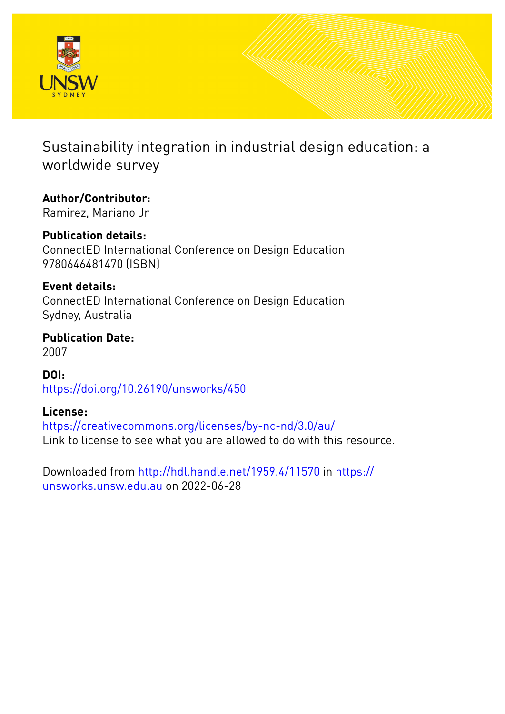

Sustainability integration in industrial design education: a worldwide survey

**Author/Contributor:**

Ramirez, Mariano Jr

**Publication details:** ConnectED International Conference on Design Education 9780646481470 (ISBN)

**Event details:** ConnectED International Conference on Design Education Sydney, Australia

**Publication Date:** 2007

**DOI:** [https://doi.org/10.26190/unsworks/450](http://dx.doi.org/https://doi.org/10.26190/unsworks/450)

## **License:**

<https://creativecommons.org/licenses/by-nc-nd/3.0/au/> Link to license to see what you are allowed to do with this resource.

Downloaded from <http://hdl.handle.net/1959.4/11570> in [https://](https://unsworks.unsw.edu.au) [unsworks.unsw.edu.au](https://unsworks.unsw.edu.au) on 2022-06-28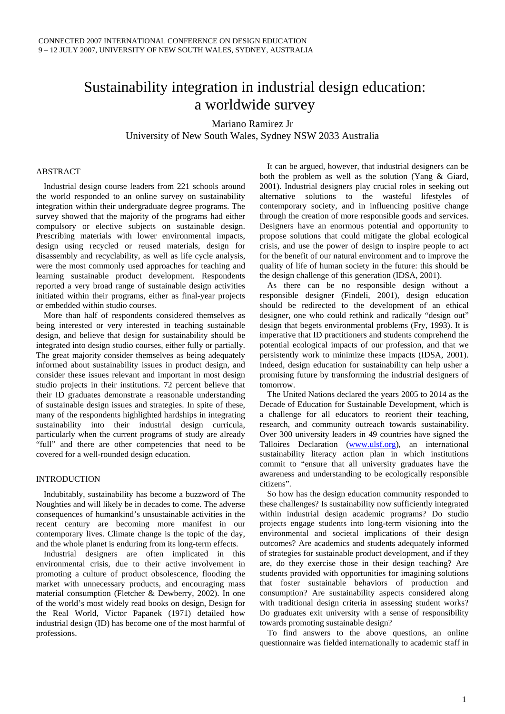# Sustainability integration in industrial design education: a worldwide survey

Mariano Ramirez Jr University of New South Wales, Sydney NSW 2033 Australia

## ABSTRACT

Industrial design course leaders from 221 schools around the world responded to an online survey on sustainability integration within their undergraduate degree programs. The survey showed that the majority of the programs had either compulsory or elective subjects on sustainable design. Prescribing materials with lower environmental impacts, design using recycled or reused materials, design for disassembly and recyclability, as well as life cycle analysis, were the most commonly used approaches for teaching and learning sustainable product development. Respondents reported a very broad range of sustainable design activities initiated within their programs, either as final-year projects or embedded within studio courses.

More than half of respondents considered themselves as being interested or very interested in teaching sustainable design, and believe that design for sustainability should be integrated into design studio courses, either fully or partially. The great majority consider themselves as being adequately informed about sustainability issues in product design, and consider these issues relevant and important in most design studio projects in their institutions. 72 percent believe that their ID graduates demonstrate a reasonable understanding of sustainable design issues and strategies. In spite of these, many of the respondents highlighted hardships in integrating sustainability into their industrial design curricula, particularly when the current programs of study are already "full" and there are other competencies that need to be covered for a well-rounded design education.

## **INTRODUCTION**

Indubitably, sustainability has become a buzzword of The Noughties and will likely be in decades to come. The adverse consequences of humankind's unsustainable activities in the recent century are becoming more manifest in our contemporary lives. Climate change is the topic of the day, and the whole planet is enduring from its long-term effects.

Industrial designers are often implicated in this environmental crisis, due to their active involvement in promoting a culture of product obsolescence, flooding the market with unnecessary products, and encouraging mass material consumption (Fletcher & Dewberry, 2002). In one of the world's most widely read books on design, Design for the Real World, Victor Papanek (1971) detailed how industrial design (ID) has become one of the most harmful of professions.

It can be argued, however, that industrial designers can be both the problem as well as the solution (Yang & Giard, 2001). Industrial designers play crucial roles in seeking out alternative solutions to the wasteful lifestyles of contemporary society, and in influencing positive change through the creation of more responsible goods and services. Designers have an enormous potential and opportunity to propose solutions that could mitigate the global ecological crisis, and use the power of design to inspire people to act for the benefit of our natural environment and to improve the quality of life of human society in the future: this should be the design challenge of this generation (IDSA, 2001).

As there can be no responsible design without a responsible designer (Findeli, 2001), design education should be redirected to the development of an ethical designer, one who could rethink and radically "design out" design that begets environmental problems (Fry, 1993). It is imperative that ID practitioners and students comprehend the potential ecological impacts of our profession, and that we persistently work to minimize these impacts (IDSA, 2001). Indeed, design education for sustainability can help usher a promising future by transforming the industrial designers of tomorrow.

The United Nations declared the years 2005 to 2014 as the Decade of Education for Sustainable Development, which is a challenge for all educators to reorient their teaching, research, and community outreach towards sustainability. Over 300 university leaders in 49 countries have signed the Talloires Declaration ([www.ulsf.org\)](http://www.ulsf.org/), an international sustainability literacy action plan in which institutions commit to "ensure that all university graduates have the awareness and understanding to be ecologically responsible citizens".

So how has the design education community responded to these challenges? Is sustainability now sufficiently integrated within industrial design academic programs? Do studio projects engage students into long-term visioning into the environmental and societal implications of their design outcomes? Are academics and students adequately informed of strategies for sustainable product development, and if they are, do they exercise those in their design teaching? Are students provided with opportunities for imagining solutions that foster sustainable behaviors of production and consumption? Are sustainability aspects considered along with traditional design criteria in assessing student works? Do graduates exit university with a sense of responsibility towards promoting sustainable design?

To find answers to the above questions, an online questionnaire was fielded internationally to academic staff in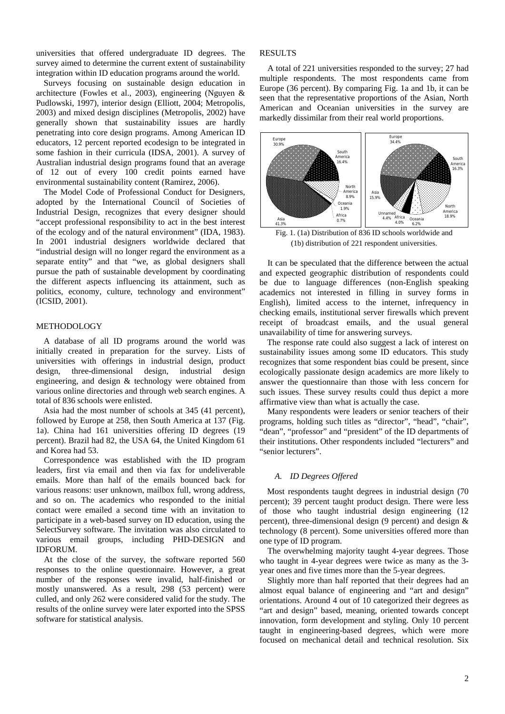universities that offered undergraduate ID degrees. The survey aimed to determine the current extent of sustainability integration within ID education programs around the world.

Surveys focusing on sustainable design education in architecture (Fowles et al., 2003), engineering (Nguyen & Pudlowski, 1997), interior design (Elliott, 2004; Metropolis, 2003) and mixed design disciplines (Metropolis, 2002) have generally shown that sustainability issues are hardly penetrating into core design programs. Among American ID educators, 12 percent reported ecodesign to be integrated in some fashion in their curricula (IDSA, 2001). A survey of Australian industrial design programs found that an average of 12 out of every 100 credit points earned have environmental sustainability content (Ramirez, 2006).

The Model Code of Professional Conduct for Designers, adopted by the International Council of Societies of Industrial Design, recognizes that every designer should "accept professional responsibility to act in the best interest of the ecology and of the natural environment" (IDA, 1983). In 2001 industrial designers worldwide declared that "industrial design will no longer regard the environment as a separate entity" and that "we, as global designers shall pursue the path of sustainable development by coordinating the different aspects influencing its attainment, such as politics, economy, culture, technology and environment" (ICSID, 2001).

## METHODOLOGY

A database of all ID programs around the world was initially created in preparation for the survey. Lists of universities with offerings in industrial design, product design, three-dimensional design, industrial design engineering, and design & technology were obtained from various online directories and through web search engines. A total of 836 schools were enlisted.

Asia had the most number of schools at 345 (41 percent), followed by Europe at 258, then South America at 137 (Fig. 1a). China had 161 universities offering ID degrees (19 percent). Brazil had 82, the USA 64, the United Kingdom 61 and Korea had 53.

Correspondence was established with the ID program leaders, first via email and then via fax for undeliverable emails. More than half of the emails bounced back for various reasons: user unknown, mailbox full, wrong address, and so on. The academics who responded to the initial contact were emailed a second time with an invitation to participate in a web-based survey on ID education, using the SelectSurvey software. The invitation was also circulated to various email groups, including PHD-DESIGN and IDFORUM.

At the close of the survey, the software reported 560 responses to the online questionnaire. However, a great number of the responses were invalid, half-finished or mostly unanswered. As a result, 298 (53 percent) were culled, and only 262 were considered valid for the study. The results of the online survey were later exported into the SPSS software for statistical analysis.

#### RESULTS

A total of 221 universities responded to the survey; 27 had multiple respondents. The most respondents came from Europe (36 percent). By comparing Fig. 1a and 1b, it can be seen that the representative proportions of the Asian, North American and Oceanian universities in the survey are markedly dissimilar from their real world proportions.



Fig. 1. (1a) Distribution of 836 ID schools worldwide and (1b) distribution of 221 respondent universities.

It can be speculated that the difference between the actual and expected geographic distribution of respondents could be due to language differences (non-English speaking academics not interested in filling in survey forms in English), limited access to the internet, infrequency in checking emails, institutional server firewalls which prevent receipt of broadcast emails, and the usual general unavailability of time for answering surveys.

The response rate could also suggest a lack of interest on sustainability issues among some ID educators. This study recognizes that some respondent bias could be present, since ecologically passionate design academics are more likely to answer the questionnaire than those with less concern for such issues. These survey results could thus depict a more affirmative view than what is actually the case.

Many respondents were leaders or senior teachers of their programs, holding such titles as "director", "head", "chair", "dean", "professor" and "president" of the ID departments of their institutions. Other respondents included "lecturers" and "senior lecturers".

## *A. ID Degrees Offered*

Most respondents taught degrees in industrial design (70 percent); 39 percent taught product design. There were less of those who taught industrial design engineering (12 percent), three-dimensional design (9 percent) and design & technology (8 percent). Some universities offered more than one type of ID program.

The overwhelming majority taught 4-year degrees. Those who taught in 4-year degrees were twice as many as the 3 year ones and five times more than the 5-year degrees.

Slightly more than half reported that their degrees had an almost equal balance of engineering and "art and design" orientations. Around 4 out of 10 categorized their degrees as "art and design" based, meaning, oriented towards concept innovation, form development and styling. Only 10 percent taught in engineering-based degrees, which were more focused on mechanical detail and technical resolution. Six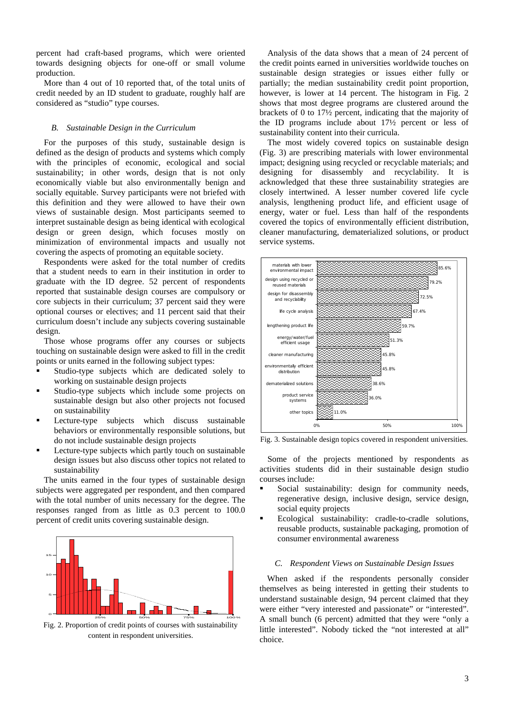percent had craft-based programs, which were oriented towards designing objects for one-off or small volume production.

More than 4 out of 10 reported that, of the total units of credit needed by an ID student to graduate, roughly half are considered as "studio" type courses.

#### *B. Sustainable Design in the Curriculum*

For the purposes of this study, sustainable design is defined as the design of products and systems which comply with the principles of economic, ecological and social sustainability; in other words, design that is not only economically viable but also environmentally benign and socially equitable. Survey participants were not briefed with this definition and they were allowed to have their own views of sustainable design. Most participants seemed to interpret sustainable design as being identical with ecological design or green design, which focuses mostly on minimization of environmental impacts and usually not covering the aspects of promoting an equitable society.

Respondents were asked for the total number of credits that a student needs to earn in their institution in order to graduate with the ID degree. 52 percent of respondents reported that sustainable design courses are compulsory or core subjects in their curriculum; 37 percent said they were optional courses or electives; and 11 percent said that their curriculum doesn't include any subjects covering sustainable design.

Those whose programs offer any courses or subjects touching on sustainable design were asked to fill in the credit points or units earned in the following subject types:

- Studio-type subjects which are dedicated solely to working on sustainable design projects
- Studio-type subjects which include some projects on sustainable design but also other projects not focused on sustainability
- **Lecture-type** subjects which discuss sustainable behaviors or environmentally responsible solutions, but do not include sustainable design projects
- Lecture-type subjects which partly touch on sustainable design issues but also discuss other topics not related to sustainability

The units earned in the four types of sustainable design subjects were aggregated per respondent, and then compared with the total number of units necessary for the degree. The responses ranged from as little as 0.3 percent to 100.0 percent of credit units covering sustainable design.



Fig. 2. Proportion of credit points of courses with sustainability content in respondent universities.

Analysis of the data shows that a mean of 24 percent of the credit points earned in universities worldwide touches on sustainable design strategies or issues either fully or partially; the median sustainability credit point proportion, however, is lower at 14 percent. The histogram in Fig. 2 shows that most degree programs are clustered around the brackets of 0 to 17½ percent, indicating that the majority of the ID programs include about 17½ percent or less of sustainability content into their curricula.

The most widely covered topics on sustainable design (Fig. 3) are prescribing materials with lower environmental impact; designing using recycled or recyclable materials; and designing for disassembly and recyclability. It is acknowledged that these three sustainability strategies are closely intertwined. A lesser number covered life cycle analysis, lengthening product life, and efficient usage of energy, water or fuel. Less than half of the respondents covered the topics of environmentally efficient distribution, cleaner manufacturing, dematerialized solutions, or product service systems.



Fig. 3. Sustainable design topics covered in respondent universities.

Some of the projects mentioned by respondents as activities students did in their sustainable design studio courses include:

- Social sustainability: design for community needs, regenerative design, inclusive design, service design, social equity projects
- Ecological sustainability: cradle-to-cradle solutions, reusable products, sustainable packaging, promotion of consumer environmental awareness

#### *C. Respondent Views on Sustainable Design Issues*

When asked if the respondents personally consider themselves as being interested in getting their students to understand sustainable design, 94 percent claimed that they were either "very interested and passionate" or "interested". A small bunch (6 percent) admitted that they were "only a little interested". Nobody ticked the "not interested at all" choice.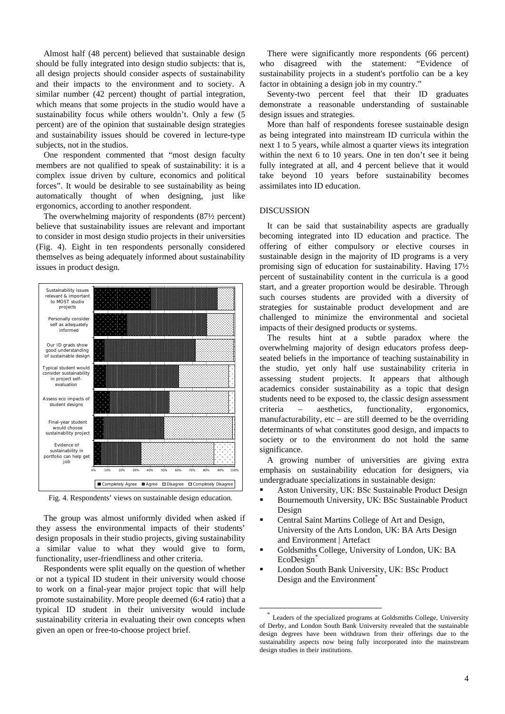Almost half (48 percent) believed that sustainable design should be fully integrated into design studio subjects: that is, all design projects should consider aspects of sustainability and their impacts to the environment and to society. A similar number (42 percent) thought of partial integration, which means that some projects in the studio would have a sustainability focus while others wouldn't. Only a few (5 percent) are of the opinion that sustainable design strategies and sustainability issues should be covered in lecture-type subjects, not in the studios.

One respondent commented that "most design faculty members are not qualified to speak of sustainability: it is a complex issue driven by culture, economics and political forces". It would be desirable to see sustainability as being automatically thought of when designing, just like ergonomics, according to another respondent.

The overwhelming majority of respondents (87½ percent) believe that sustainability issues are relevant and important to consider in most design studio projects in their universities (Fig. 4). Eight in ten respondents personally considered themselves as being adequately informed about sustainability issues in product design.



Fig. 4. Respondents' views on sustainable design education.

The group was almost uniformly divided when asked if they assess the environmental impacts of their students' design proposals in their studio projects, giving sustainability a similar value to what they would give to form, functionality, user-friendliness and other criteria.

<span id="page-4-0"></span>Respondents were split equally on the question of whether or not a typical ID student in their university would choose to work on a final-year major project topic that will help promote sustainability. More people deemed (6:4 ratio) that a typical ID student in their university would include sustainability criteria in evaluating their own concepts when given an open or free-to-choose project brief.

There were significantly more respondents (66 percent) who disagreed with the statement: "Evidence of sustainability projects in a student's portfolio can be a key factor in obtaining a design job in my country."

Seventy-two percent feel that their ID graduates demonstrate a reasonable understanding of sustainable design issues and strategies.

More than half of respondents foresee sustainable design as being integrated into mainstream ID curricula within the next 1 to 5 years, while almost a quarter views its integration within the next 6 to 10 years. One in ten don't see it being fully integrated at all, and 4 percent believe that it would take beyond 10 years before sustainability becomes assimilates into ID education.

## DISCUSSION

It can be said that sustainability aspects are gradually becoming integrated into ID education and practice. The offering of either compulsory or elective courses in sustainable design in the majority of ID programs is a very promising sign of education for sustainability. Having 17½ percent of sustainability content in the curricula is a good start, and a greater proportion would be desirable. Through such courses students are provided with a diversity of strategies for sustainable product development and are challenged to minimize the environmental and societal impacts of their designed products or systems.

The results hint at a subtle paradox where the overwhelming majority of design educators profess deepseated beliefs in the importance of teaching sustainability in the studio, yet only half use sustainability criteria in assessing student projects. It appears that although academics consider sustainability as a topic that design students need to be exposed to, the classic design assessment criteria – aesthetics, functionality, ergonomics, manufacturability, etc – are still deemed to be the overriding determinants of what constitutes good design, and impacts to society or to the environment do not hold the same significance.

A growing number of universities are giving extra emphasis on sustainability education for designers, via undergraduate specializations in sustainable design:

- Aston University, UK: BSc Sustainable Product Design
- Bournemouth University, UK: BSc Sustainable Product Design
- Central Saint Martins College of Art and Design, University of the Arts London, UK: BA Arts Design and Environment | Artefact
- Goldsmiths College, University of London, UK: BA EcoDesign<sup>[\\*](#page-4-0)</sup>
- London South Bank University, UK: BSc Product Design and the Environment<sup>\*</sup>

Leaders of the specialized programs at Goldsmiths College, University of Derby, and London South Bank University revealed that the sustainable design degrees have been withdrawn from their offerings due to the sustainability aspects now being fully incorporated into the mainstream design studies in their institutions.